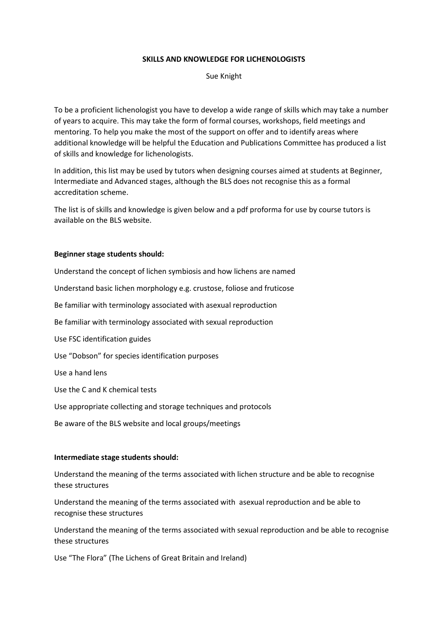## **SKILLS AND KNOWLEDGE FOR LICHENOLOGISTS**

Sue Knight

To be a proficient lichenologist you have to develop a wide range of skills which may take a number of years to acquire. This may take the form of formal courses, workshops, field meetings and mentoring. To help you make the most of the support on offer and to identify areas where additional knowledge will be helpful the Education and Publications Committee has produced a list of skills and knowledge for lichenologists.

In addition, this list may be used by tutors when designing courses aimed at students at Beginner, Intermediate and Advanced stages, although the BLS does not recognise this as a formal accreditation scheme.

The list is of skills and knowledge is given below and a pdf proforma for use by course tutors is available on the BLS website.

## **Beginner stage students should:**

Understand the concept of lichen symbiosis and how lichens are named Understand basic lichen morphology e.g. crustose, foliose and fruticose Be familiar with terminology associated with asexual reproduction Be familiar with terminology associated with sexual reproduction Use FSC identification guides Use "Dobson" for species identification purposes Use a hand lens Use the C and K chemical tests Use appropriate collecting and storage techniques and protocols Be aware of the BLS website and local groups/meetings

## **Intermediate stage students should:**

Understand the meaning of the terms associated with lichen structure and be able to recognise these structures

Understand the meaning of the terms associated with asexual reproduction and be able to recognise these structures

Understand the meaning of the terms associated with sexual reproduction and be able to recognise these structures

Use "The Flora" (The Lichens of Great Britain and Ireland)